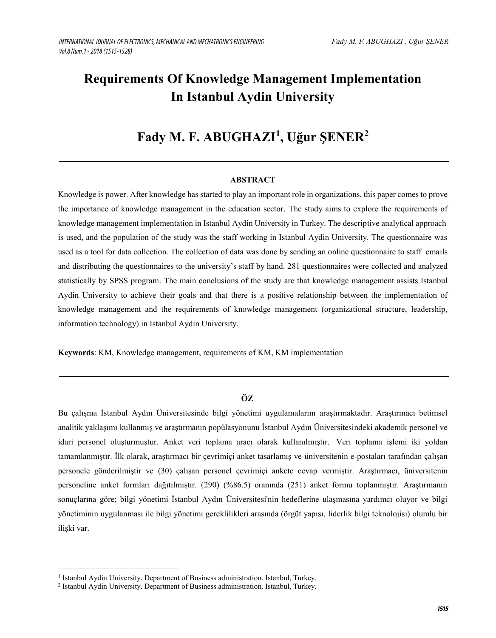# **Requirements Of Knowledge Management Implementation In Istanbul Aydin University**

# **Fady M. F. ABUGHAZI<sup>1</sup> , Uğur ŞENER<sup>2</sup>**

# **ABSTRACT**

Knowledge is power. After knowledge has started to play an important role in organizations, this paper comes to prove the importance of knowledge management in the education sector. The study aims to explore the requirements of knowledge management implementation in Istanbul Aydin University in Turkey. The descriptive analytical approach is used, and the population of the study was the staff working in Istanbul Aydin University. The questionnaire was used as a tool for data collection. The collection of data was done by sending an online questionnaire to staff emails and distributing the questionnaires to the university's staff by hand. 281 questionnaires were collected and analyzed statistically by SPSS program. The main conclusions of the study are that knowledge management assists Istanbul Aydin University to achieve their goals and that there is a positive relationship between the implementation of knowledge management and the requirements of knowledge management (organizational structure, leadership, information technology) in Istanbul Aydin University.

**Keywords**: KM, Knowledge management, requirements of KM, KM implementation

# $\ddot{\mathbf{O}}\mathbf{Z}$

Bu çalışma İstanbul Aydın Üniversitesinde bilgi yönetimi uygulamalarını araştırmaktadır. Araştırmacı betimsel analitik yaklaşımı kullanmış ve araştırmanın popülasyonunu İstanbul Aydın Üniversitesindeki akademik personel ve idari personel oluşturmuştur. Anket veri toplama aracı olarak kullanılmıştır. Veri toplama işlemi iki yoldan tamamlanmıştır. İlk olarak, araştırmacı bir çevrimiçi anket tasarlamış ve üniversitenin e-postaları tarafından çalışan personele gönderilmiştir ve (30) çalışan personel çevrimiçi ankete cevap vermiştir. Araştırmacı, üniversitenin personeline anket formları dağıtılmıştır. (290) (%86.5) oranında (251) anket formu toplanmıştır. Araştırmanın sonuçlarına göre; bilgi yönetimi İstanbul Aydın Üniversitesi'nin hedeflerine ulaşmasına yardımcı oluyor ve bilgi yönetiminin uygulanması ile bilgi yönetimi gereklilikleri arasında (örgüt yapısı, liderlik bilgi teknolojisi) olumlu bir ilişki var.

<sup>&</sup>lt;sup>1</sup> Istanbul Aydin University. Department of Business administration. Istanbul, Turkey.

<sup>2</sup> Istanbul Aydin University. Department of Business administration. Istanbul, Turkey.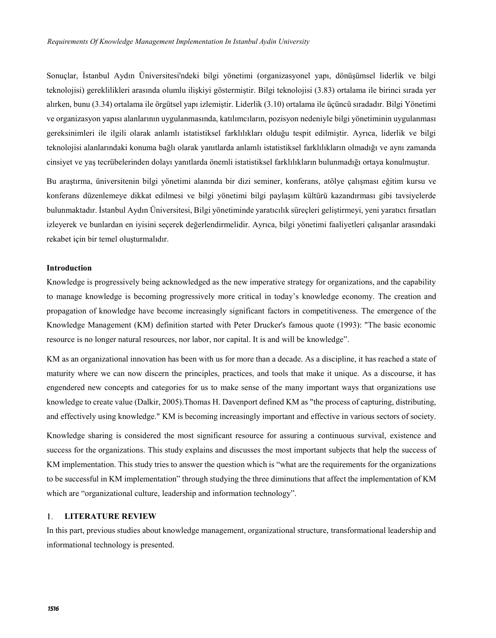Sonuçlar, İstanbul Aydın Üniversitesi'ndeki bilgi yönetimi (organizasyonel yapı, dönüşümsel liderlik ve bilgi teknolojisi) gereklilikleri arasında olumlu ilişkiyi göstermiştir. Bilgi teknolojisi (3.83) ortalama ile birinci sırada yer alırken, bunu (3.34) ortalama ile örgütsel yapı izlemiştir. Liderlik (3.10) ortalama ile üçüncü sıradadır. Bilgi Yönetimi ve organizasyon yapısı alanlarının uygulanmasında, katılımcıların, pozisyon nedeniyle bilgi yönetiminin uygulanması gereksinimleri ile ilgili olarak anlamlı istatistiksel farklılıkları olduğu tespit edilmiştir. Ayrıca, liderlik ve bilgi teknolojisi alanlarındaki konuma bağlı olarak yanıtlarda anlamlı istatistiksel farklılıkların olmadığı ve aynı zamanda cinsiyet ve yaş tecrübelerinden dolayı yanıtlarda önemli istatistiksel farklılıkların bulunmadığı ortaya konulmuştur.

Bu araştırma, üniversitenin bilgi yönetimi alanında bir dizi seminer, konferans, atölye çalışması eğitim kursu ve konferans düzenlemeye dikkat edilmesi ve bilgi yönetimi bilgi paylaşım kültürü kazandırması gibi tavsiyelerde bulunmaktadır. İstanbul Aydın Üniversitesi, Bilgi yönetiminde yaratıcılık süreçleri geliştirmeyi, yeni yaratıcı fırsatları izleyerek ve bunlardan en iyisini seçerek değerlendirmelidir. Ayrıca, bilgi yönetimi faaliyetleri çalışanlar arasındaki rekabet için bir temel oluşturmalıdır.

## **Introduction**

Knowledge is progressively being acknowledged as the new imperative strategy for organizations, and the capability to manage knowledge is becoming progressively more critical in today's knowledge economy. The creation and propagation of knowledge have become increasingly significant factors in competitiveness. The emergence of the Knowledge Management (KM) definition started with Peter Drucker's famous quote (1993): "The basic economic resource is no longer natural resources, nor labor, nor capital. It is and will be knowledge".

KM as an organizational innovation has been with us for more than a decade. As a discipline, it has reached a state of maturity where we can now discern the principles, practices, and tools that make it unique. As a discourse, it has engendered new concepts and categories for us to make sense of the many important ways that organizations use knowledge to create value (Dalkir, 2005).Thomas H. Davenport defined KM as "the process of capturing, distributing, and effectively using knowledge." KM is becoming increasingly important and effective in various sectors of society.

Knowledge sharing is considered the most significant resource for assuring a continuous survival, existence and success for the organizations. This study explains and discusses the most important subjects that help the success of KM implementation. This study tries to answer the question which is "what are the requirements for the organizations to be successful in KM implementation" through studying the three diminutions that affect the implementation of KM which are "organizational culture, leadership and information technology".

#### 1. **LITERATURE REVIEW**

In this part, previous studies about knowledge management, organizational structure, transformational leadership and informational technology is presented.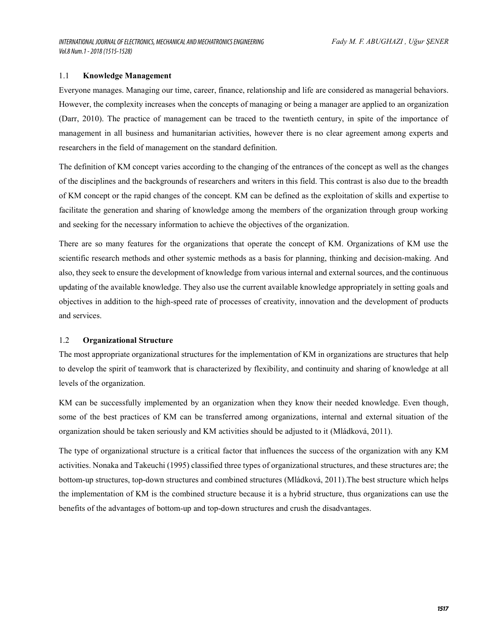## 1.1 **Knowledge Management**

Everyone manages. Managing our time, career, finance, relationship and life are considered as managerial behaviors. However, the complexity increases when the concepts of managing or being a manager are applied to an organization (Darr, 2010). The practice of management can be traced to the twentieth century, in spite of the importance of management in all business and humanitarian activities, however there is no clear agreement among experts and researchers in the field of management on the standard definition.

The definition of KM concept varies according to the changing of the entrances of the concept as well as the changes of the disciplines and the backgrounds of researchers and writers in this field. This contrast is also due to the breadth of KM concept or the rapid changes of the concept. KM can be defined as the exploitation of skills and expertise to facilitate the generation and sharing of knowledge among the members of the organization through group working and seeking for the necessary information to achieve the objectives of the organization.

There are so many features for the organizations that operate the concept of KM. Organizations of KM use the scientific research methods and other systemic methods as a basis for planning, thinking and decision-making. And also, they seek to ensure the development of knowledge from various internal and external sources, and the continuous updating of the available knowledge. They also use the current available knowledge appropriately in setting goals and objectives in addition to the high-speed rate of processes of creativity, innovation and the development of products and services.

## 1.2 **Organizational Structure**

The most appropriate organizational structures for the implementation of KM in organizations are structures that help to develop the spirit of teamwork that is characterized by flexibility, and continuity and sharing of knowledge at all levels of the organization.

KM can be successfully implemented by an organization when they know their needed knowledge. Even though, some of the best practices of KM can be transferred among organizations, internal and external situation of the organization should be taken seriously and KM activities should be adjusted to it (Mládková, 2011).

The type of organizational structure is a critical factor that influences the success of the organization with any KM activities. Nonaka and Takeuchi (1995) classified three types of organizational structures, and these structures are; the bottom-up structures, top-down structures and combined structures (Mládková, 2011).The best structure which helps the implementation of KM is the combined structure because it is a hybrid structure, thus organizations can use the benefits of the advantages of bottom-up and top-down structures and crush the disadvantages.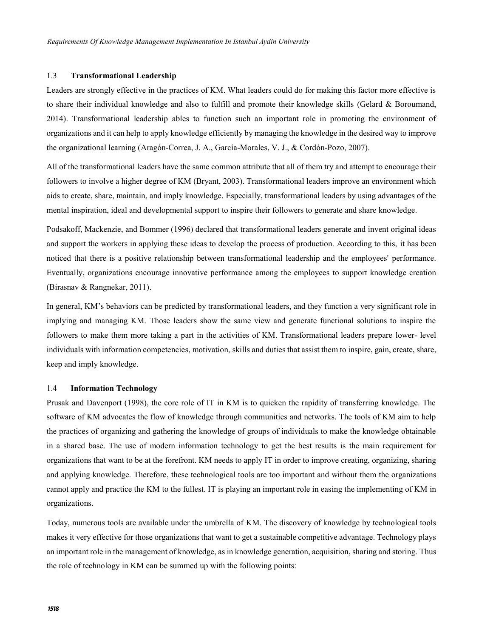## 1.3 **Transformational Leadership**

 Leaders are strongly effective in the practices of KM. What leaders could do for making this factor more effective is to share their individual knowledge and also to fulfill and promote their knowledge skills (Gelard & Boroumand, 2014). Transformational leadership ables to function such an important role in promoting the environment of organizations and it can help to apply knowledge efficiently by managing the knowledge in the desired way to improve the organizational learning (Aragón-Correa, J. A., García-Morales, V. J., & Cordón-Pozo, 2007).

All of the transformational leaders have the same common attribute that all of them try and attempt to encourage their followers to involve a higher degree of KM (Bryant, 2003). Transformational leaders improve an environment which aids to create, share, maintain, and imply knowledge. Especially, transformational leaders by using advantages of the mental inspiration, ideal and developmental support to inspire their followers to generate and share knowledge.

Podsakoff, Mackenzie, and Bommer (1996) declared that transformational leaders generate and invent original ideas and support the workers in applying these ideas to develop the process of production. According to this, it has been noticed that there is a positive relationship between transformational leadership and the employees' performance. Eventually, organizations encourage innovative performance among the employees to support knowledge creation (Birasnav & Rangnekar, 2011).

In general, KM's behaviors can be predicted by transformational leaders, and they function a very significant role in implying and managing KM. Those leaders show the same view and generate functional solutions to inspire the followers to make them more taking a part in the activities of KM. Transformational leaders prepare lower- level individuals with information competencies, motivation, skills and duties that assist them to inspire, gain, create, share, keep and imply knowledge.

## 1.4 **Information Technology**

Prusak and Davenport (1998), the core role of IT in KM is to quicken the rapidity of transferring knowledge. The software of KM advocates the flow of knowledge through communities and networks. The tools of KM aim to help the practices of organizing and gathering the knowledge of groups of individuals to make the knowledge obtainable in a shared base. The use of modern information technology to get the best results is the main requirement for organizations that want to be at the forefront. KM needs to apply IT in order to improve creating, organizing, sharing and applying knowledge. Therefore, these technological tools are too important and without them the organizations cannot apply and practice the KM to the fullest. IT is playing an important role in easing the implementing of KM in organizations.

Today, numerous tools are available under the umbrella of KM. The discovery of knowledge by technological tools makes it very effective for those organizations that want to get a sustainable competitive advantage. Technology plays an important role in the management of knowledge, as in knowledge generation, acquisition, sharing and storing. Thus the role of technology in KM can be summed up with the following points: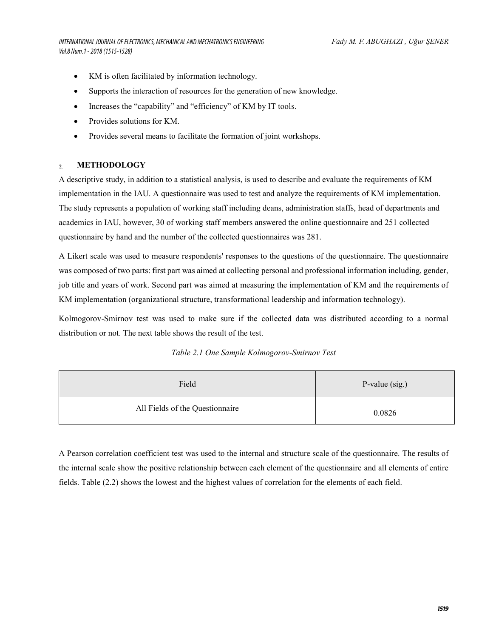*INTERNATIONAL JOURNAL OF ELECTRONICS, MECHANICAL AND MECHATRONICS ENGINEERING Vol.8 Num.1 - 2018 (1515-1528)*

- KM is often facilitated by information technology.
- Supports the interaction of resources for the generation of new knowledge.
- Increases the "capability" and "efficiency" of KM by IT tools.
- Provides solutions for KM.
- Provides several means to facilitate the formation of joint workshops.

#### **METHODOLOGY**  $\gamma$

A descriptive study, in addition to a statistical analysis, is used to describe and evaluate the requirements of KM implementation in the IAU. A questionnaire was used to test and analyze the requirements of KM implementation. The study represents a population of working staff including deans, administration staffs, head of departments and academics in IAU, however, 30 of working staff members answered the online questionnaire and 251 collected questionnaire by hand and the number of the collected questionnaires was 281.

A Likert scale was used to measure respondents' responses to the questions of the questionnaire. The questionnaire was composed of two parts: first part was aimed at collecting personal and professional information including, gender, job title and years of work. Second part was aimed at measuring the implementation of KM and the requirements of KM implementation (organizational structure, transformational leadership and information technology).

Kolmogorov-Smirnov test was used to make sure if the collected data was distributed according to a normal distribution or not. The next table shows the result of the test.

|  |  | Table 2.1 One Sample Kolmogorov-Smirnov Test |  |
|--|--|----------------------------------------------|--|
|--|--|----------------------------------------------|--|

| Field                           | P-value $(sig.)$ |
|---------------------------------|------------------|
| All Fields of the Questionnaire | 0.0826           |

A Pearson correlation coefficient test was used to the internal and structure scale of the questionnaire. The results of the internal scale show the positive relationship between each element of the questionnaire and all elements of entire fields. Table (2.2) shows the lowest and the highest values of correlation for the elements of each field.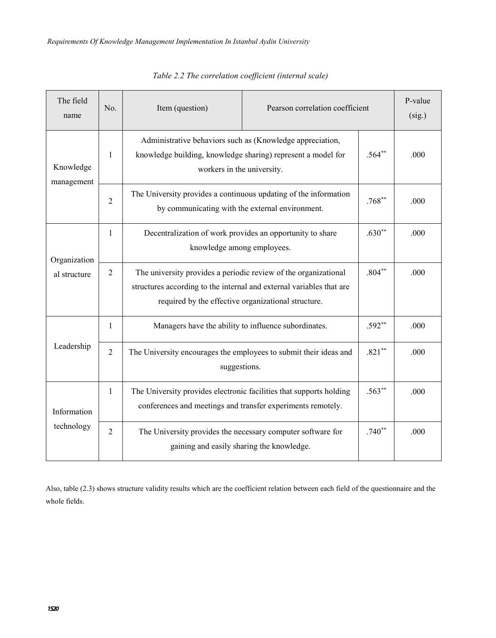| The field<br>name       | No.                                                                                          | Item (question)                                                                                                                                                                                | Pearson correlation coefficient |          | P-value<br>(sig.) |
|-------------------------|----------------------------------------------------------------------------------------------|------------------------------------------------------------------------------------------------------------------------------------------------------------------------------------------------|---------------------------------|----------|-------------------|
| Knowledge<br>management | 1                                                                                            | Administrative behaviors such as (Knowledge appreciation,<br>knowledge building, knowledge sharing) represent a model for<br>workers in the university.                                        |                                 |          | .000              |
|                         | $\overline{c}$                                                                               | The University provides a continuous updating of the information<br>by communicating with the external environment.                                                                            | $.768**$                        | .000     |                   |
| Organization            | Decentralization of work provides an opportunity to share<br>1<br>knowledge among employees. |                                                                                                                                                                                                |                                 |          |                   |
| al structure            | $\overline{2}$                                                                               | The university provides a periodic review of the organizational<br>structures according to the internal and external variables that are<br>required by the effective organizational structure. |                                 |          | .000              |
|                         | 1                                                                                            | Managers have the ability to influence subordinates.                                                                                                                                           |                                 |          | .000              |
| Leadership              | $\overline{2}$                                                                               | The University encourages the employees to submit their ideas and<br>suggestions.                                                                                                              |                                 |          | .000              |
| Information             | 1                                                                                            | The University provides electronic facilities that supports holding<br>conferences and meetings and transfer experiments remotely.                                                             |                                 | $.563**$ | .000              |
| technology              | 2                                                                                            | The University provides the necessary computer software for<br>gaining and easily sharing the knowledge.                                                                                       |                                 | $.740**$ | .000              |

*Table 2.2 The correlation coefficient (internal scale)*

Also, table (2.3) shows structure validity results which are the coefficient relation between each field of the questionnaire and the whole fields.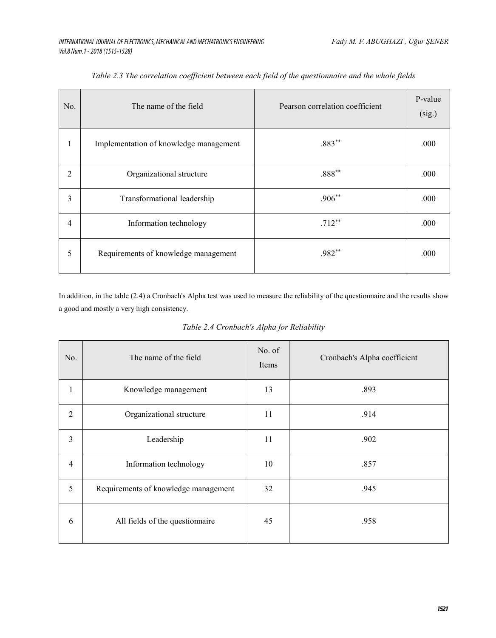| No. | The name of the field                  | Pearson correlation coefficient | P-value<br>(sig.) |
|-----|----------------------------------------|---------------------------------|-------------------|
| 1   | Implementation of knowledge management | $.883**$                        | .000              |
| 2   | Organizational structure               | $.888**$                        | .000              |
| 3   | Transformational leadership            | $.906**$                        | .000              |
| 4   | Information technology                 | $.712***$                       | .000              |
| 5   | Requirements of knowledge management   | .982**                          | .000              |

| Table 2.3 The correlation coefficient between each field of the questionnaire and the whole fields |  |  |  |
|----------------------------------------------------------------------------------------------------|--|--|--|
|----------------------------------------------------------------------------------------------------|--|--|--|

In addition, in the table (2.4) a Cronbach's Alpha test was used to measure the reliability of the questionnaire and the results show a good and mostly a very high consistency.

| No.                     | The name of the field                | No. of<br>Items | Cronbach's Alpha coefficient |
|-------------------------|--------------------------------------|-----------------|------------------------------|
| 1                       | Knowledge management                 | 13              | .893                         |
| $\overline{2}$          | Organizational structure             | 11              | .914                         |
| 3                       | Leadership                           | 11              | .902                         |
| $\overline{\mathbf{4}}$ | Information technology               | 10              | .857                         |
| 5                       | Requirements of knowledge management | 32              | .945                         |
| 6                       | All fields of the questionnaire      | 45              | .958                         |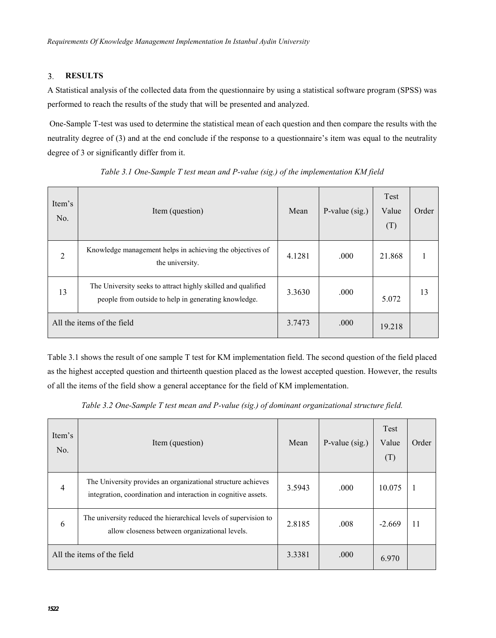### $3.$ **RESULTS**

A Statistical analysis of the collected data from the questionnaire by using a statistical software program (SPSS) was performed to reach the results of the study that will be presented and analyzed.

 One-Sample T-test was used to determine the statistical mean of each question and then compare the results with the neutrality degree of (3) and at the end conclude if the response to a questionnaire's item was equal to the neutrality degree of 3 or significantly differ from it.

| Item's<br>No. | Item (question)                                                                                                      | Mean   | P-value $(sig.)$ | Test<br>Value<br>(T) | Order |
|---------------|----------------------------------------------------------------------------------------------------------------------|--------|------------------|----------------------|-------|
| 2             | Knowledge management helps in achieving the objectives of<br>the university.                                         | 4.1281 | .000             | 21.868               |       |
| 13            | The University seeks to attract highly skilled and qualified<br>people from outside to help in generating knowledge. | 3.3630 | .000             | 5.072                | 13    |
|               | All the items of the field                                                                                           | 3.7473 | .000             | 19.218               |       |

*Table 3.1 One-Sample T test mean and P-value (sig.) of the implementation KM field*

Table 3.1 shows the result of one sample T test for KM implementation field. The second question of the field placed as the highest accepted question and thirteenth question placed as the lowest accepted question. However, the results of all the items of the field show a general acceptance for the field of KM implementation.

*Table 3.2 One-Sample T test mean and P-value (sig.) of dominant organizational structure field.*

| Item's<br>No.  | Item (question)                                                                                                                | Mean   | P-value (sig.) | Test<br>Value<br>(T) | Order |
|----------------|--------------------------------------------------------------------------------------------------------------------------------|--------|----------------|----------------------|-------|
| $\overline{4}$ | The University provides an organizational structure achieves<br>integration, coordination and interaction in cognitive assets. | 3.5943 | .000           | 10.075               |       |
| 6              | The university reduced the hierarchical levels of supervision to<br>allow closeness between organizational levels.             | 2.8185 | .008           | $-2.669$             |       |
|                | All the items of the field                                                                                                     | 3.3381 | .000           | 6.970                |       |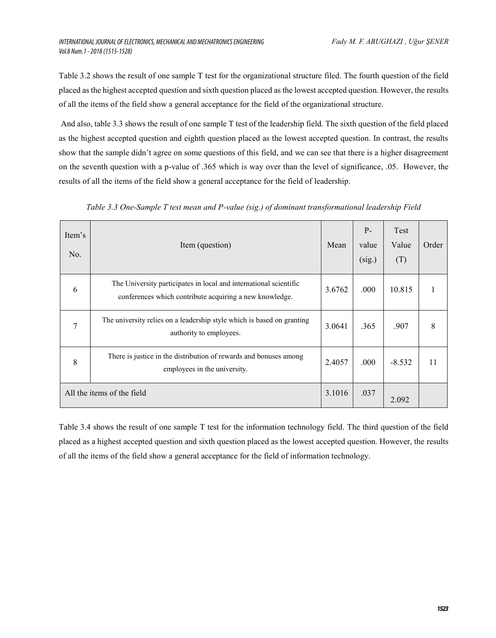Table 3.2 shows the result of one sample T test for the organizational structure filed. The fourth question of the field placed as the highest accepted question and sixth question placed as the lowest accepted question. However, the results of all the items of the field show a general acceptance for the field of the organizational structure.

And also, table 3.3 shows the result of one sample T test of the leadership field. The sixth question of the field placed as the highest accepted question and eighth question placed as the lowest accepted question. In contrast, the results show that the sample didn't agree on some questions of this field, and we can see that there is a higher disagreement on the seventh question with a p-value of .365 which is way over than the level of significance, .05. However, the results of all the items of the field show a general acceptance for the field of leadership.

| Item's<br>No. | Item (question)                                                                                                              | Mean   | $P -$<br>value<br>(sig.) | Test<br>Value<br>(T) | Order |
|---------------|------------------------------------------------------------------------------------------------------------------------------|--------|--------------------------|----------------------|-------|
| 6             | The University participates in local and international scientific<br>conferences which contribute acquiring a new knowledge. | 3.6762 | .000                     | 10.815               |       |
| 7             | The university relies on a leadership style which is based on granting<br>authority to employees.                            | 3.0641 | .365                     | .907                 | 8     |
| 8             | There is justice in the distribution of rewards and bonuses among<br>employees in the university.                            | 2.4057 | .000                     | $-8.532$             | 11    |
|               | All the items of the field                                                                                                   | 3.1016 | .037                     | 2.092                |       |

*Table 3.3 One-Sample T test mean and P-value (sig.) of dominant transformational leadership Field*

Table 3.4 shows the result of one sample T test for the information technology field. The third question of the field placed as a highest accepted question and sixth question placed as the lowest accepted question. However, the results of all the items of the field show a general acceptance for the field of information technology.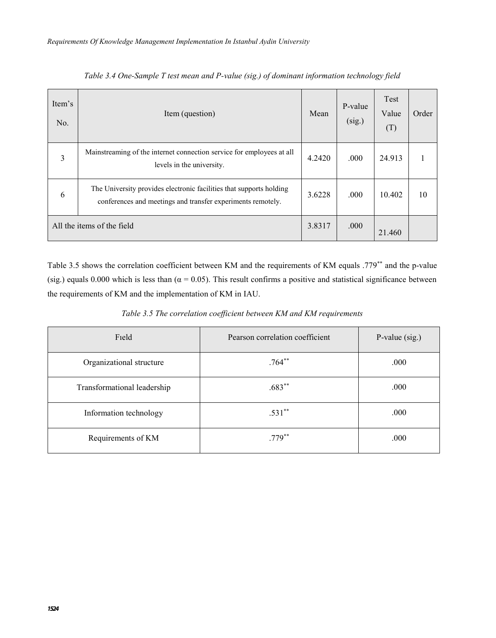| Item's<br>No. | Item (question)                                                                                                                    | Mean   | P-value<br>(sig.) | Test<br>Value<br>(T) | Order |
|---------------|------------------------------------------------------------------------------------------------------------------------------------|--------|-------------------|----------------------|-------|
| 3             | Mainstreaming of the internet connection service for employees at all<br>levels in the university.                                 | 4.2420 | .000              | 24.913               |       |
| 6             | The University provides electronic facilities that supports holding<br>conferences and meetings and transfer experiments remotely. | 3.6228 | .000              | 10.402               | 10    |
|               | All the items of the field                                                                                                         | 3.8317 | .000              | 21.460               |       |

*Table 3.4 One-Sample T test mean and P-value (sig.) of dominant information technology field*

Table 3.5 shows the correlation coefficient between KM and the requirements of KM equals .779\*\* and the p-value (sig.) equals 0.000 which is less than ( $\alpha$  = 0.05). This result confirms a positive and statistical significance between the requirements of KM and the implementation of KM in IAU.

*Table 3.5 The correlation coefficient between KM and KM requirements*

| Field                       | Pearson correlation coefficient | P-value (sig.) |
|-----------------------------|---------------------------------|----------------|
| Organizational structure    | $.764***$                       | .000           |
| Transformational leadership | $.683**$                        | .000           |
| Information technology      | $.531**$                        | .000           |
| Requirements of KM          | $.779***$                       | .000           |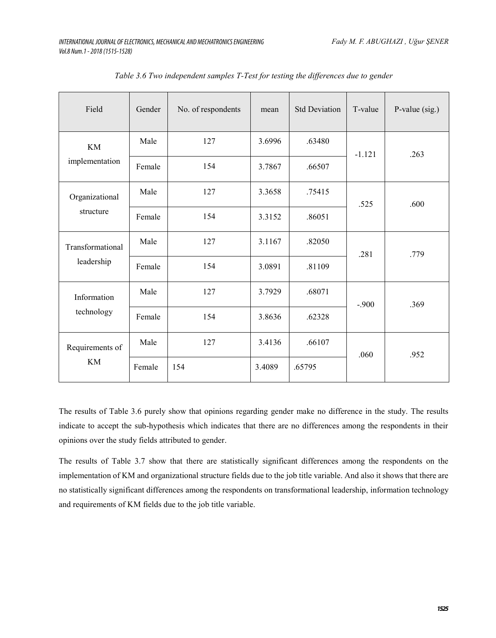| Field                          | Gender | No. of respondents | mean   | <b>Std Deviation</b> | T-value  | P-value $(sig.)$ |
|--------------------------------|--------|--------------------|--------|----------------------|----------|------------------|
| <b>KM</b><br>implementation    | Male   | 127                | 3.6996 | .63480               | $-1.121$ | .263             |
|                                | Female | 154                | 3.7867 | .66507               |          |                  |
| Organizational<br>structure    | Male   | 127                | 3.3658 | .75415               | .525     | .600             |
|                                | Female | 154                | 3.3152 | .86051               |          |                  |
| Transformational<br>leadership | Male   | 127                | 3.1167 | .82050               | .281     | .779             |
|                                | Female | 154                | 3.0891 | .81109               |          |                  |
| Information<br>technology      | Male   | 127                | 3.7929 | .68071               | $-.900$  | .369             |
|                                | Female | 154                | 3.8636 | .62328               |          |                  |
| Requirements of<br><b>KM</b>   | Male   | 127                | 3.4136 | .66107               | .060     | .952             |
|                                | Female | 154                | 3.4089 | .65795               |          |                  |

*Table 3.6 Two independent samples T-Test for testing the differences due to gender*

The results of Table 3.6 purely show that opinions regarding gender make no difference in the study. The results indicate to accept the sub-hypothesis which indicates that there are no differences among the respondents in their opinions over the study fields attributed to gender.

The results of Table 3.7 show that there are statistically significant differences among the respondents on the implementation of KM and organizational structure fields due to the job title variable. And also it shows that there are no statistically significant differences among the respondents on transformational leadership, information technology and requirements of KM fields due to the job title variable.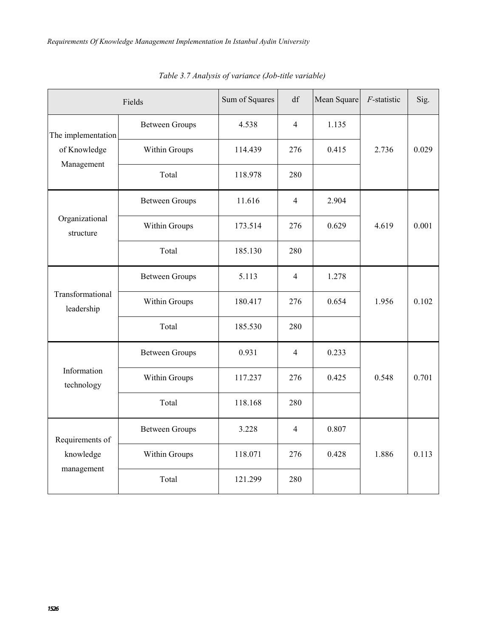| Fields                                           |                       | Sum of Squares | $\mathrm{d}\mathbf{f}$ | Mean Square | F-statistic | Sig.  |
|--------------------------------------------------|-----------------------|----------------|------------------------|-------------|-------------|-------|
| The implementation<br>of Knowledge<br>Management | <b>Between Groups</b> | 4.538          | $\overline{4}$         | 1.135       |             |       |
|                                                  | Within Groups         | 114.439        | 276                    | 0.415       | 2.736       | 0.029 |
|                                                  | Total                 | 118.978        | 280                    |             |             |       |
| Organizational<br>structure                      | <b>Between Groups</b> | 11.616         | $\overline{4}$         | 2.904       |             |       |
|                                                  | Within Groups         | 173.514        | 276                    | 0.629       | 4.619       | 0.001 |
|                                                  | Total                 | 185.130        | 280                    |             |             |       |
| Transformational<br>leadership                   | <b>Between Groups</b> | 5.113          | 4                      | 1.278       |             |       |
|                                                  | Within Groups         | 180.417        | 276                    | 0.654       | 1.956       | 0.102 |
|                                                  | Total                 | 185.530        | 280                    |             |             |       |
| Information<br>technology                        | <b>Between Groups</b> | 0.931          | $\overline{4}$         | 0.233       |             |       |
|                                                  | Within Groups         | 117.237        | 276                    | 0.425       | 0.548       | 0.701 |
|                                                  | Total                 | 118.168        | 280                    |             |             |       |
| Requirements of<br>knowledge<br>management       | <b>Between Groups</b> | 3.228          | 4                      | 0.807       |             |       |
|                                                  | Within Groups         | 118.071        | 276                    | 0.428       | 1.886       | 0.113 |
|                                                  | Total                 | 121.299        | 280                    |             |             |       |

*Table 3.7 Analysis of variance (Job-title variable)*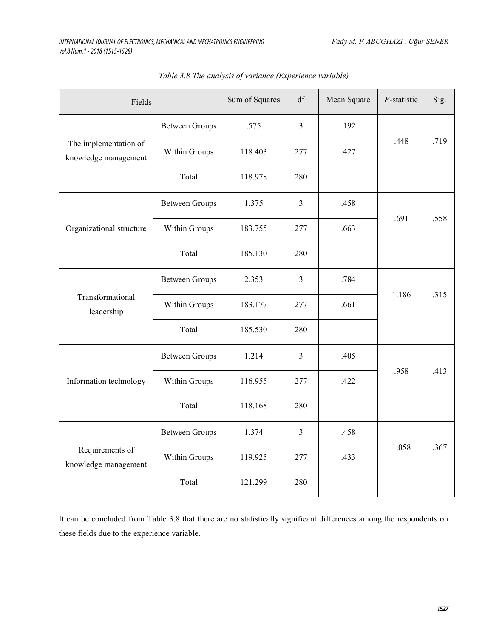| Fields                                        |                       | Sum of Squares | df             | Mean Square | $F$ -statistic | Sig. |
|-----------------------------------------------|-----------------------|----------------|----------------|-------------|----------------|------|
| The implementation of<br>knowledge management | <b>Between Groups</b> | .575           | 3              | .192        | .448           | .719 |
|                                               | Within Groups         | 118.403        | 277            | .427        |                |      |
|                                               | Total                 | 118.978        | 280            |             |                |      |
| Organizational structure                      | <b>Between Groups</b> | 1.375          | $\mathfrak{Z}$ | .458        |                | .558 |
|                                               | Within Groups         | 183.755        | 277            | .663        | .691           |      |
|                                               | Total                 | 185.130        | 280            |             |                |      |
| Transformational<br>leadership                | <b>Between Groups</b> | 2.353          | $\mathfrak{Z}$ | .784        | 1.186          | .315 |
|                                               | Within Groups         | 183.177        | 277            | .661        |                |      |
|                                               | Total                 | 185.530        | 280            |             |                |      |
| Information technology                        | <b>Between Groups</b> | 1.214          | $\mathfrak{Z}$ | .405        | .958           | .413 |
|                                               | Within Groups         | 116.955        | 277            | .422        |                |      |
|                                               | Total                 | 118.168        | 280            |             |                |      |
| Requirements of<br>knowledge management       | <b>Between Groups</b> | 1.374          | $\mathfrak{Z}$ | .458        |                |      |
|                                               | Within Groups         | 119.925        | 277            | .433        | 1.058          | .367 |
|                                               | Total                 | 121.299        | 280            |             |                |      |

*Table 3.8 The analysis of variance (Experience variable)*

It can be concluded from Table 3.8 that there are no statistically significant differences among the respondents on these fields due to the experience variable.